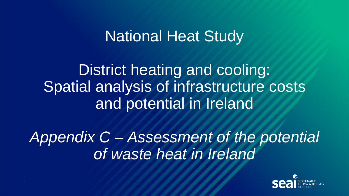# National Heat Study

District heating and cooling: Spatial analysis of infrastructure costs and potential in Ireland

*Appendix C – Assessment of the potential of waste heat in Ireland*

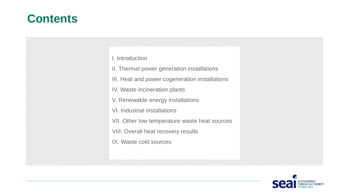# **Contents**

I. Introduction

II. Thermal power generation installations

III. Heat and power cogeneration installations

IV. Waste incineration plants

V. Renewable energy installations

VI. Industrial installations

VII. Other low temperature waste heat sources

VIII. Overall heat recovery results

IX. Waste cold sources

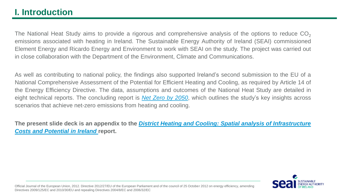The National Heat Study aims to provide a rigorous and comprehensive analysis of the options to reduce  $CO<sub>2</sub>$ emissions associated with heating in Ireland. The Sustainable Energy Authority of Ireland (SEAI) commissioned Element Energy and Ricardo Energy and Environment to work with SEAI on the study. The project was carried out in close collaboration with the Department of the Environment, Climate and Communications.

As well as contributing to national policy, the findings also supported Ireland's second submission to the EU of a National Comprehensive Assessment of the Potential for Efficient Heating and Cooling, as required by Article 14 of the Energy Efficiency Directive. The data, assumptions and outcomes of the National Heat Study are detailed in eight technical reports. The concluding report is *Net Zero by [2050](http://www.seai.ie/publications/Net-Zero-by-2050.pdf)*, which outlines the study's key insights across scenarios that achieve net-zero emissions from heating and cooling.

The present slide deck is an appendix to the *District Heating and Cooling: Spatial analysis of [Infrastructure](http://www.seai.ie/publications/District-Heating-and-Cooling.pdf) Costs and Potential in Ireland* **report.**



Official Journal of the European Union, 2012. Directive 2012/27/EU of the European Parliament and of the council of 25 October 2012 on energy efficiency, amending Directives 2009/125/EC and 2010/30/EU and repealing Directives 2004/8/EC and 2006/32/EC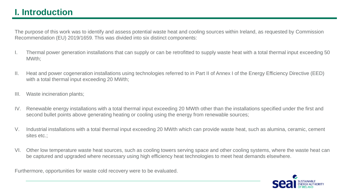The purpose of this work was to identify and assess potential waste heat and cooling sources within Ireland, as requested by Commission Recommendation (EU) 2019/1659. This was divided into six distinct components:

- I. Thermal power generation installations that can supply or can be retrofitted to supply waste heat with a total thermal input exceeding 50 MWth;
- II. Heat and power cogeneration installations using technologies referred to in Part II of Annex I of the Energy Efficiency Directive (EED) with a total thermal input exceeding 20 MWth;
- III. Waste incineration plants;
- IV. Renewable energy installations with a total thermal input exceeding 20 MWth other than the installations specified under the first and second bullet points above generating heating or cooling using the energy from renewable sources;
- V. Industrial installations with a total thermal input exceeding 20 MWth which can provide waste heat, such as alumina, ceramic, cement sites etc.;
- VI. Other low temperature waste heat sources, such as cooling towers serving space and other cooling systems, where the waste heat can be captured and upgraded where necessary using high efficiency heat technologies to meet heat demands elsewhere.

Furthermore, opportunities for waste cold recovery were to be evaluated.

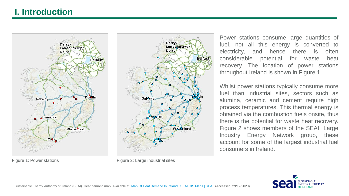



Figure 1: Power stations Figure 2: Large industrial sites

Power stations consume large quantities of fuel, not all this energy is converted to electricity, and hence there is often considerable potential for waste heat recovery. The location of power stations throughout Ireland is shown in Figure 1.

Whilst power stations typically consume more fuel than industrial sites, sectors such as alumina, ceramic and cement require high process temperatures. This thermal energy is obtained via the combustion fuels onsite, thus there is the potential for waste heat recovery. Figure 2 shows members of the SEAI Large Industry Energy Network group, these account for some of the largest industrial fuel consumers in Ireland.

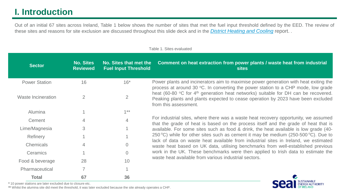Out of an initial 67 sites across Ireland, Table 1 below shows the number of sites that met the fuel input threshold defined by the EED. The review of these sites and reasons for site exclusion are discussed throughout this slide deck and in the *District [Heating](http://www.seai.ie/publications/District-Heating-and-Cooling.pdf) and Cooling* report. .

| <b>Sector</b>             | <b>No. Sites</b><br><b>Reviewed</b> | No. Sites that met the<br><b>Fuel Input Threshold</b> | Comment on heat extraction from power plants / waste heat from industrial<br><b>sites</b>                                                                                                                   |
|---------------------------|-------------------------------------|-------------------------------------------------------|-------------------------------------------------------------------------------------------------------------------------------------------------------------------------------------------------------------|
| <b>Power Station</b>      | 16                                  | $16*$                                                 | Power plants and incinerators aim to maximise power generation with heat exiting the<br>process at around 30 °C. In converting the power station to a CHP mode, low grade                                   |
| <b>Waste Incineration</b> | 2                                   | $\overline{2}$                                        | heat (60-80 °C for 4 <sup>th</sup> generation heat networks) suitable for DH can be recovered.<br>Peaking plants and plants expected to cease operation by 2023 have been excluded<br>from this assessment. |
| <b>Alumina</b>            |                                     | $1***$                                                |                                                                                                                                                                                                             |
| Cement                    |                                     | 4                                                     | For industrial sites, where there was a waste heat recovery opportunity, we assumed<br>that the grade of heat is based on the process itself and the grade of heat that is                                  |
| Lime/Magnesia             | 3                                   |                                                       | available. For some sites such as food & drink, the heat available is low grade (40-                                                                                                                        |
| Refinery                  |                                     |                                                       | 250 °C) while for other sites such as cement it may be medium (250-500 °C). Due to                                                                                                                          |
| Chemicals                 | $\overline{4}$                      |                                                       | lack of data on waste heat available from industrial sites in Ireland, we estimated<br>waste heat based on UK data, utilising benchmarks from well-established previous                                     |
| Ceramics                  |                                     | $\overline{0}$                                        | work in the UK. These benchmarks were then applied to Irish data to estimate the                                                                                                                            |
| Food & beverage           | 28                                  | 10                                                    | waste heat available from various industrial sectors.                                                                                                                                                       |
| Pharmaceutical            |                                     |                                                       |                                                                                                                                                                                                             |
| <b>Total</b>              | 67                                  | 36                                                    |                                                                                                                                                                                                             |

INABLE **AUTHORITY** 

Table 1. Sites evaluated

**\*** 10 power stations are later excluded due to closure etc.

**\*\*** Whilst the alumina site did meet the threshold, it was later excluded because the site already operates a CHP.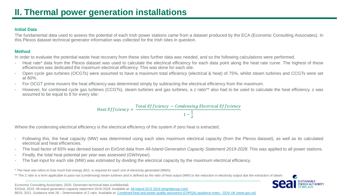### **Initial Data**

The fundamental data used to assess the potential of each Irish power stations came from a dataset produced by the ECA (Economic Consulting Associates). In this Plexos dataset technical generator information was collected for the Irish sites in question.

### **Method**

In order to evaluate the potential waste heat recovery from these sites further data was needed, and so the following calculations were performed.

- Heat rate\* data from the Plexos dataset was used to calculate the electrical efficiency for each data point along the heat rate curve. The highest of these efficiencies was dedicated the maximum electrical efficiency. This was done for each site.
- Open cycle gas turbines (OCGTs) were assumed to have a maximum total efficiency (electrical & heat) of 75%, whilst steam turbines and CCGTs were set at 80%.
- For OCGT prime movers the heat efficiency was determined simply by subtracting the electrical efficiency from the maximum.
- However, for combined cycle gas turbines (CCGTs), steam turbines and gas turbines, a z ratio\*\* also had to be used to calculate the heat efficiency. z was assumed to be equal to 8 for every site:

Heat  $Efficiency =$ Total Efficiency − Condensing Electrical Efficiency  $1-\frac{1}{7}$  $\overline{z}$ 

Where the condensing electrical efficiency is the electrical efficiency of the system if zero heat is extracted.

- Following this, the heat capacity (MW) was determined using each sites maximum electrical capacity (from the Plexos dataset), as well as its calculated electrical and heat efficiencies.
- The load factor of 65% was derived based on EirGrid data from *All-Island Generation Capacity Statement 2019-2028*. This was applied to all power stations.
- Finally, the total heat potential per year was assessed (GWh/year).
- The fuel input for each site (MW) was estimated by dividing the electrical capacity by the maximum electrical efficiency.

\* The heat rate refers to how much fuel energy (MJ) is required for each unit of electricity generated (MWh).

\*\* The Z ratio is a term applicable to pass-out (condensing) steam turbines and is defined as the ratio of heat output (MW) to the reduction in electricity output due the extraction of steam



Economic Consulting Associates, 2020. Generator technical data (confidential)

EirGrid, 2019. All-island generation capacity statement 2019-2028. Available at: [All-Island GCS 2019 \(eirgridgroup.com\)](https://www.eirgridgroup.com/newsroom/all-island-gcs-2019/)

BEIS, 2021. Guidance note 28 – Determination of Z ratio. Available at: [Combined heat and power quality assurance \(CHPQA\) guidance notes -](https://www.gov.uk/guidance/chpqa-guidance-notes) GOV.UK (www.gov.uk)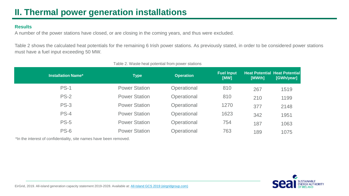### **Results**

A number of the power stations have closed, or are closing in the coming years, and thus were excluded.

Table 2 shows the calculated heat potentials for the remaining 6 Irish power stations. As previously stated, in order to be considered power stations must have a fuel input exceeding 50 MW.

| <b>Installation Name*</b> | <b>Type</b>          | <b>Operation</b> | <b>Fuel Input</b><br>[MW] | [MWth] | <b>Heat Potential Heat Potential</b><br>[GWh/year] |
|---------------------------|----------------------|------------------|---------------------------|--------|----------------------------------------------------|
| <b>PS-1</b>               | <b>Power Station</b> | Operational      | 810                       | 267    | 1519                                               |
| $PS-2$                    | <b>Power Station</b> | Operational      | 810                       | 210    | 1199                                               |
| <b>PS-3</b>               | <b>Power Station</b> | Operational      | 1270                      | 377    | 2148                                               |
| $PS-4$                    | <b>Power Station</b> | Operational      | 1623                      | 342    | 1951                                               |
| <b>PS-5</b>               | <b>Power Station</b> | Operational      | 754                       | 187    | 1063                                               |
| $PS-6$                    | <b>Power Station</b> | Operational      | 763                       | 189    | 1075                                               |

Table 2. Waste heat potential from power stations

\*In the interest of confidentiality, site names have been removed.

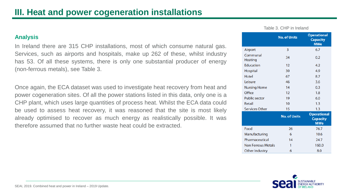### **Analysis**

In Ireland there are 315 CHP installations, most of which consume natural gas. Services, such as airports and hospitals, make up 262 of these, whilst industry has 53. Of all these systems, there is only one substantial producer of energy (non-ferrous metals), see Table 3.

Once again, the ECA dataset was used to investigate heat recovery from heat and power cogeneration sites. Of all the power stations listed in this data, only one is a CHP plant, which uses large quantities of process heat. Whilst the ECA data could be used to assess heat recovery, it was reasoned that the site is most likely already optimised to recover as much energy as realistically possible. It was therefore assumed that no further waste heat could be extracted.

|                            | <b>No. of Units</b> | <b>Operational</b><br><b>Capacity</b><br><b>MWe</b> |
|----------------------------|---------------------|-----------------------------------------------------|
| Airport                    | 3                   | 6.7                                                 |
| Communal<br><b>Heating</b> | 34                  | 0.2                                                 |
| <b>Education</b>           | 12                  | 4.2                                                 |
| Hospital                   | 30                  | 4.9                                                 |
| <b>Hotel</b>               | 67                  | 8.7                                                 |
| Leisure                    | 46                  | 3.6                                                 |
| <b>Nursing Home</b>        | 14                  | 0.3                                                 |
| Office                     | 12                  | 1.8                                                 |
| <b>Public sector</b>       | 19                  | 6.0                                                 |
| <b>Retail</b>              | 10                  | 1.3                                                 |
| <b>Services Other</b>      | 15                  | 1.3                                                 |
|                            | <b>No. of Units</b> | <b>Operational</b><br><b>Capacity</b><br><b>MWe</b> |
| Food                       | 26                  | 76.7                                                |
| Manufacturing              | 6                   | 10.6                                                |
| Pharmaceutical             | 14                  | 24.7                                                |
| <b>Non Ferrous Metals</b>  | 1                   | 160.0                                               |
| Other Industry             | 6                   | 80                                                  |



#### Table 3. CHP in Ireland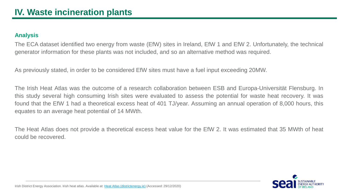### **Analysis**

The ECA dataset identified two energy from waste (EfW) sites in Ireland, EfW 1 and EfW 2. Unfortunately, the technical generator information for these plants was not included, and so an alternative method was required.

As previously stated, in order to be considered EfW sites must have a fuel input exceeding 20MW.

The Irish Heat Atlas was the outcome of a research collaboration between ESB and Europa-Universität Flensburg. In this study several high consuming Irish sites were evaluated to assess the potential for waste heat recovery. It was found that the EfW 1 had a theoretical excess heat of 401 TJ/year. Assuming an annual operation of 8,000 hours, this equates to an average heat potential of 14 MWth.

The Heat Atlas does not provide a theoretical excess heat value for the EfW 2. It was estimated that 35 MWth of heat could be recovered.

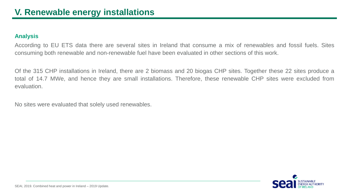### **Analysis**

According to EU ETS data there are several sites in Ireland that consume a mix of renewables and fossil fuels. Sites consuming both renewable and non-renewable fuel have been evaluated in other sections of this work.

Of the 315 CHP installations in Ireland, there are 2 biomass and 20 biogas CHP sites. Together these 22 sites produce a total of 14.7 MWe, and hence they are small installations. Therefore, these renewable CHP sites were excluded from evaluation.

No sites were evaluated that solely used renewables.

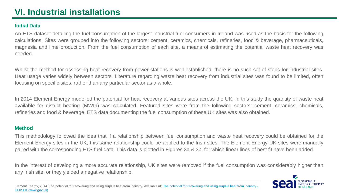# **VI. Industrial installations**

### **Initial Data**

An ETS dataset detailing the fuel consumption of the largest industrial fuel consumers in Ireland was used as the basis for the following calculations. Sites were grouped into the following sectors: cement, ceramics, chemicals, refineries, food & beverage, pharmaceuticals, magnesia and lime production. From the fuel consumption of each site, a means of estimating the potential waste heat recovery was needed.

Whilst the method for assessing heat recovery from power stations is well established, there is no such set of steps for industrial sites. Heat usage varies widely between sectors. Literature regarding waste heat recovery from industrial sites was found to be limited, often focusing on specific sites, rather than any particular sector as a whole.

In 2014 Element Energy modelled the potential for heat recovery at various sites across the UK. In this study the quantity of waste heat available for district heating (MWth) was calculated. Featured sites were from the following sectors: cement, ceramics, chemicals, refineries and food & beverage. ETS data documenting the fuel consumption of these UK sites was also obtained.

### **Method**

This methodology followed the idea that if a relationship between fuel consumption and waste heat recovery could be obtained for the Element Energy sites in the UK, this same relationship could be applied to the Irish sites. The Element Energy UK sites were manually paired with the corresponding ETS fuel data. This data is plotted in Figures 3a & 3b, for which linear lines of best fit have been added.

In the interest of developing a more accurate relationship, UK sites were removed if the fuel consumption was considerably higher than any Irish site, or they yielded a negative relationship.

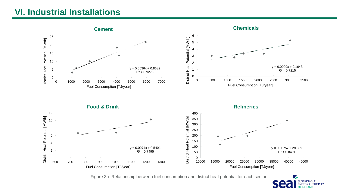### **VI. Industrial Installations**



Figure 3a. Relationship between fuel consumption and district heat potential for each sector

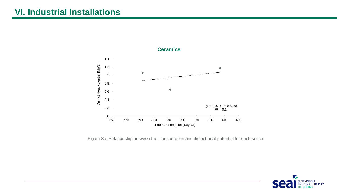### **VI. Industrial Installations**



Figure 3b. Relationship between fuel consumption and district heat potential for each sector

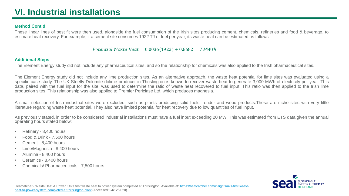# **VI. Industrial installations**

#### **Method Cont'd**

These linear lines of best fit were then used, alongside the fuel consumption of the Irish sites producing cement, chemicals, refineries and food & beverage, to estimate heat recovery. For example, if a cement site consumes 1922 TJ of fuel per year, its waste heat can be estimated as follows:

#### Potential Waste Heat =  $0.0036(1922) + 0.8682 = 7$  MWth

#### **Additional Steps**

The Element Energy study did not include any pharmaceutical sites, and so the relationship for chemicals was also applied to the Irish pharmaceutical sites.

The Element Energy study did not include any lime production sites. As an alternative approach, the waste heat potential for lime sites was evaluated using a specific case study. The UK Steetly Dolomite dolime producer in Thrislington is known to recover waste heat to generate 3,000 MWh of electricity per year. This data, paired with the fuel input for the site, was used to determine the ratio of waste heat recovered to fuel input. This ratio was then applied to the Irish lime production sites. This relationship was also applied to Premier Periclase Ltd, which produces magnesia.

A small selection of Irish industrial sites were excluded, such as plants producing solid fuels, render and wood products.These are niche sites with very little literature regarding waste heat potential. They also have limited potential for heat recovery due to low quantities of fuel input.

As previously stated, in order to be considered industrial installations must have a fuel input exceeding 20 MW. This was estimated from ETS data given the annual operating hours stated below:

- Refinery 8,400 hours
- Food & Drink 7,500 hours
- Cement 8,400 hours
- Lime/Magnesia 8,400 hours
- Alumina 8,400 hours
- Ceramics 8,400 hours
- Chemicals/ Pharmaceuticals 7,500 hours

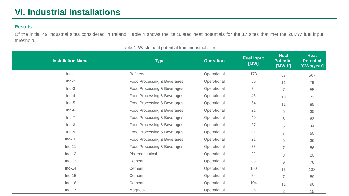### **Results**

Of the initial 49 industrial sites considered in Ireland, Table 4 shows the calculated heat potentials for the 17 sites that met the 20MW fuel input threshold.

| <b>Installation Name</b> | <b>Type</b>                 | <b>Operation</b> | <b>Fuel Input</b><br>[WW] | <b>Heat</b><br><b>Potential</b><br>[MWth] | <b>Heat</b><br><b>Potential</b><br>[GWh/year] |
|--------------------------|-----------------------------|------------------|---------------------------|-------------------------------------------|-----------------------------------------------|
| $Ind-1$                  | Refinery                    | Operational      | 173                       | 67                                        | 567                                           |
| $Ind-2$                  | Food Processing & Beverages | Operational      | 50                        | 11                                        | 79                                            |
| $Ind-3$                  | Food Processing & Beverages | Operational      | 34                        | $\overline{7}$                            | 55                                            |
| $Ind-4$                  | Food Processing & Beverages | Operational      | 45                        | 10                                        | 71                                            |
| $Ind-5$                  | Food Processing & Beverages | Operational      | 54                        | 11                                        | 85                                            |
| $Ind-6$                  | Food Processing & Beverages | Operational      | 21                        | 5                                         | 35                                            |
| $Ind-7$                  | Food Processing & Beverages | Operational      | 40                        | $\,8\,$                                   | 63                                            |
| $Ind-8$                  | Food Processing & Beverages | Operational      | 27                        | 6                                         | 44                                            |
| $Ind-9$                  | Food Processing & Beverages | Operational      | 31                        | $\overline{7}$                            | 50                                            |
| $Ind-10$                 | Food Processing & Beverages | Operational      | 21                        | 5                                         | 36                                            |
| $Ind-11$                 | Food Processing & Beverages | Operational      | 35                        | $\overline{7}$                            | 56                                            |
| $Ind-12$                 | Pharmaceutical              | Operational      | 22                        | 3                                         | 20                                            |
| $Ind-13$                 | Cement                      | Operational      | 83                        | $9\,$                                     | 76                                            |
| $Ind-14$                 | Cement                      | Operational      | 150                       | 16                                        | 138                                           |
| $Ind-15$                 | Cement                      | Operational      | 64                        | $\overline{7}$                            | 59                                            |
| $Ind-16$                 | Cement                      | Operational      | 104                       | 11                                        | 96                                            |
| $Ind-17$                 | Magnesia                    | Operational      | 36                        | 2                                         | 15                                            |

Table 4. Waste heat potential from industrial sites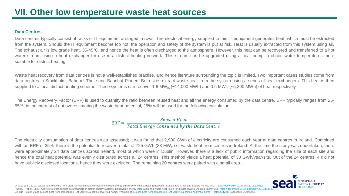#### **Data Centres**

Data centres typically consist of racks of IT equipment arranged in rows. The electrical energy supplied to this IT equipment generates heat, which must be extracted from the system. Should the IT equipment become too hot, the operation and safety of the system is put at risk. Heat is usually extracted from this system using air. The exhaust air is low grade heat, 35-45°C, and hence the heat is often discharged to the atmosphere. However, this heat can be recovered and transferred to a hot water stream using a heat exchanger for use in a district heating network. This stream can be upgraded using a heat pump to obtain water temperatures more suitable for district heating.

Waste heat recovery from data centres is not a well-established practise, and hence literature surrounding the topic is limited. Two important cases studies come from data centres in Stockholm, Bahnhof Thule and Bahnhof Pionen. Both sites extract waste heat from the system using a series of heat exchangers. This heat is then supplied to a local district heating scheme. These systems can recover 1.6 MW<sub>th</sub> (~14,000 MWh) and 0.6 MW<sub>th</sub> (~5,300 MWh) of heat respectively.

The Energy Recovery Factor (ERF) is used to quantify the ratio between reused heat and all the energy consumed by the data centre. ERF typically ranges from 25- 55%, in the interest of not overestimating the waste heat potential, 25% will be used for the following calculation.

> $ERF =$ Reused Heat Total Energy Consumed by the Data Centre

The electricity consumption of data centres was assessed; it was found that 2,900 GWh of electricity are consumed each year at data centres in Ireland. Combined with an ERF of 25%, there is the potential to recover a total of 725 GWh (83 MW<sub>th</sub>) of waste heat from centres in Ireland. At the time the study was undertaken, there were approximately 24 data centres across Ireland, most of which were in Dublin. However, there is a lack of public information regarding the size of each site and hence the total heat potential was evenly distributed across all 24 centres. This method yields a heat potential of 30 GWh/year/site. Out of the 24 centres, 4 did not have publicly disclosed locations, hence they were excluded. The remaining 20 centres were paired with a small area.



Oro, E. et al., 2019. Waste heat recovery from urban air cooled data centres to increase energy efficiency of district heating networks. Sustainable Cities and Society 45. 522-542. <https://doi.org/10.1016/j.scs.2018.12.012> Huang, P. et al., 2020. A review of data centers as prosumers in district energy systems: Renewable energy integration and waste heat reuse for district heating. Applied Energy 258. https://doi.org/10.1016/i.apenergy.2019. Celsius Project, 2020. Excess heat from datacentres: Let your insta-selfies heat your home. Available at: [Excess heat from datacentres: Let your Insta-selfies heat your home -](https://celsiuscity.eu/waste-heat-from-datacentres/) (celsiuscity.eu) (Accessed 06/04/2021)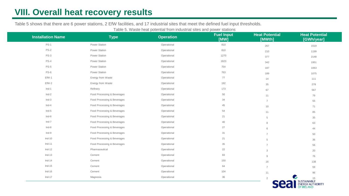# **VIII. Overall heat recovery results**

Table 5 shows that there are 6 power stations, 2 EfW facilities, and 17 industrial sites that meet the defined fuel input thresholds.

| Table 5. Waste heat potential from industrial sites and power stations |  |  |
|------------------------------------------------------------------------|--|--|
|------------------------------------------------------------------------|--|--|

| <b>Installation Name</b> | <b>Type</b>                 | <b>Operation</b> | <b>Fuel Input</b><br>[MW] | <b>Heat Potential</b><br>[MWth] | <b>Heat Potential</b><br>[GWh/year]                        |  |
|--------------------------|-----------------------------|------------------|---------------------------|---------------------------------|------------------------------------------------------------|--|
| <b>PS-1</b>              | Power Station               | Operational      | 810                       | 267                             | 1519                                                       |  |
| <b>PS-2</b>              | Power Station               | Operational      | 810                       | 210                             | 1199                                                       |  |
| $PS-3$                   | Power Station               | Operational      | 1270                      | 377                             | 2148                                                       |  |
| <b>PS-4</b>              | Power Station               | Operational      | 1623                      | 342                             | 1951                                                       |  |
| <b>PS-5</b>              | Power Station               | Operational      | 754                       | 187                             | 1063                                                       |  |
| <b>PS-6</b>              | Power Station               | Operational      | 763                       | 189                             | 1075                                                       |  |
| EfW-1                    | Energy from Waste           | Operational      | 77                        | 14                              | 111                                                        |  |
| EfW-2                    | Energy from Waste           | Operational      | 192                       | 35                              | 278                                                        |  |
| $Ind-1$                  | Refinery                    | Operational      | 173                       | 67                              | 567                                                        |  |
| $Ind-2$                  | Food Processing & Beverages | Operational      | 50                        | 11                              | 79                                                         |  |
| $Ind-3$                  | Food Processing & Beverages | Operational      | 34                        | $\overline{7}$                  | 55                                                         |  |
| $Ind-4$                  | Food Processing & Beverages | Operational      | 45                        | 10                              | 71                                                         |  |
| $Ind-5$                  | Food Processing & Beverages | Operational      | 54                        | 11                              | 85                                                         |  |
| $Ind-6$                  | Food Processing & Beverages | Operational      | 21                        | $\overline{5}$                  | 35                                                         |  |
| $Ind-7$                  | Food Processing & Beverages | Operational      | 40                        | 8                               | 63                                                         |  |
| $Ind-8$                  | Food Processing & Beverages | Operational      | 27                        | 6                               | 44                                                         |  |
| $Ind-9$                  | Food Processing & Beverages | Operational      | 31                        | $\overline{7}$                  | 50                                                         |  |
| $Ind-10$                 | Food Processing & Beverages | Operational      | 21                        | $\overline{5}$                  | 36                                                         |  |
| $Ind-11$                 | Food Processing & Beverages | Operational      | 35                        | $\overline{7}$                  | 56                                                         |  |
| $Ind-12$                 | Pharmaceutical              | Operational      | 22                        | 3                               | 20                                                         |  |
| $Ind-13$                 | Cement                      | Operational      | 83                        | $9\,$                           | 76                                                         |  |
| $Ind-14$                 | Cement                      | Operational      | 150                       | 16                              | 138                                                        |  |
| $Ind-15$                 | Cement                      | Operational      | 64                        | $\overline{7}$                  | 59                                                         |  |
| $Ind-16$                 | Cement                      | Operational      | 104                       | 11                              | 96                                                         |  |
| $Ind-17$                 | Magnesia                    | Operational      | 36                        | $\overline{2}$                  | $\bullet$                                                  |  |
|                          |                             |                  |                           | $\blacksquare$                  | 15<br>SUSTAINABLE<br>ENERGY AUTHORITY<br><b>OF IRELAND</b> |  |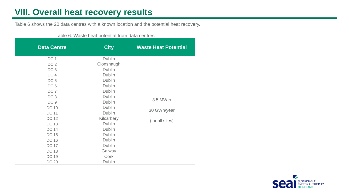# **VIII. Overall heat recovery results**

Table 6 shows the 20 data centres with a known location and the potential heat recovery.

|                    | <u>rapid of Wabib Hoat potontial Home adia bonti oo </u> |                             |
|--------------------|----------------------------------------------------------|-----------------------------|
| <b>Data Centre</b> | <b>City</b>                                              | <b>Waste Heat Potential</b> |
| DC <sub>1</sub>    | <b>Dublin</b>                                            |                             |
| DC <sub>2</sub>    | Clonshaugh                                               |                             |
| DC <sub>3</sub>    | <b>Dublin</b>                                            |                             |
| DC4                | <b>Dublin</b>                                            |                             |
| DC <sub>5</sub>    | <b>Dublin</b>                                            |                             |
| DC 6               | <b>Dublin</b>                                            |                             |
| DC <sub>7</sub>    | <b>Dublin</b>                                            |                             |
| DC8                | <b>Dublin</b>                                            |                             |
| DC <sub>9</sub>    | <b>Dublin</b>                                            | 3.5 MWth                    |
| <b>DC 10</b>       | <b>Dublin</b>                                            |                             |
| <b>DC 11</b>       | <b>Dublin</b>                                            | 30 GWh/year                 |
| <b>DC 12</b>       | Kilcarbery                                               |                             |
| <b>DC 13</b>       | <b>Dublin</b>                                            | (for all sites)             |
| <b>DC 14</b>       | <b>Dublin</b>                                            |                             |
| <b>DC 15</b>       | <b>Dublin</b>                                            |                             |
| <b>DC 16</b>       | <b>Dublin</b>                                            |                             |
| <b>DC 17</b>       | <b>Dublin</b>                                            |                             |
| <b>DC 18</b>       | Galway                                                   |                             |
| <b>DC 19</b>       | Cork                                                     |                             |
| <b>DC 20</b>       | <b>Dublin</b>                                            |                             |

Table 6. Waste heat potential from data centres

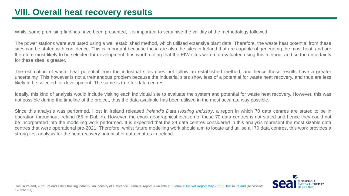Whilst some promising findings have been presented, it is important to scrutinise the validity of the methodology followed.

The power stations were evaluated using a well established method, which utilised extensive plant data. Therefore, the waste heat potential from these sites can be stated with confidence. This is important because these are also the sites in Ireland that are capable of generating the most heat, and are therefore most likely to be selected for development. It is worth noting that the EfW sites were not evaluated using this method, and so the uncertainty for these sites is greater.

The estimation of waste heat potential from the industrial sites does not follow an established method, and hence these results have a greater uncertainty. This however is not a tremendous problem because the industrial sites show less of a potential for waste heat recovery, and thus are less likely to be selected for development. The same is true for data centres.

Ideally, this kind of analysis would include visiting each individual site to evaluate the system and potential for waste heat recovery. However, this was not possible during the timeline of the project, thus the data available has been utilised in the most accurate way possible.

Since this analysis was performed, Host in Ireland released *Ireland's Data Hosting Industry*, a report in which 70 data centres are stated to be in operation throughout Ireland (65 in Dublin). However, the exact geographical location of these 70 data centres is not stated and hence they could not be incorporated into the modelling work performed. It is expected that the 24 data centres considered in this analysis represent the most sizable data centres that were operational pre-2021. Therefore, whilst future modelling work should aim to locate and utilise all 70 data centres, this work provides a strong first analysis for the heat recovery potential of data centres in Ireland.